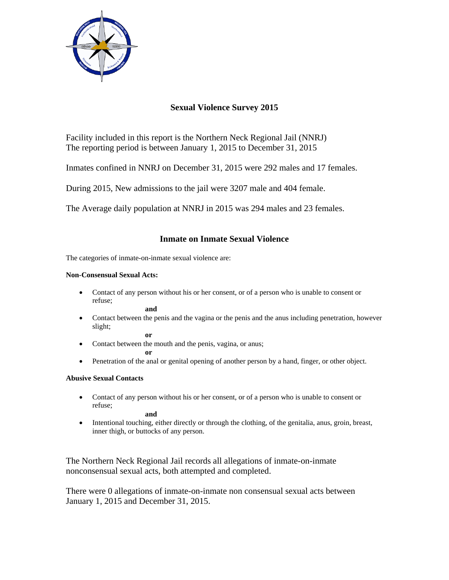

# **Sexual Violence Survey 2015**

Facility included in this report is the Northern Neck Regional Jail (NNRJ) The reporting period is between January 1, 2015 to December 31, 2015

Inmates confined in NNRJ on December 31, 2015 were 292 males and 17 females.

During 2015, New admissions to the jail were 3207 male and 404 female.

The Average daily population at NNRJ in 2015 was 294 males and 23 females.

## **Inmate on Inmate Sexual Violence**

The categories of inmate-on-inmate sexual violence are:

### **Non-Consensual Sexual Acts:**

 Contact of any person without his or her consent, or of a person who is unable to consent or refuse;

**and**

 Contact between the penis and the vagina or the penis and the anus including penetration, however slight; **or** 

• Contact between the mouth and the penis, vagina, or anus;

**or** 

• Penetration of the anal or genital opening of another person by a hand, finger, or other object.

## **Abusive Sexual Contacts**

 Contact of any person without his or her consent, or of a person who is unable to consent or refuse;

**and** 

 Intentional touching, either directly or through the clothing, of the genitalia, anus, groin, breast, inner thigh, or buttocks of any person.

The Northern Neck Regional Jail records all allegations of inmate-on-inmate nonconsensual sexual acts, both attempted and completed.

There were 0 allegations of inmate-on-inmate non consensual sexual acts between January 1, 2015 and December 31, 2015.